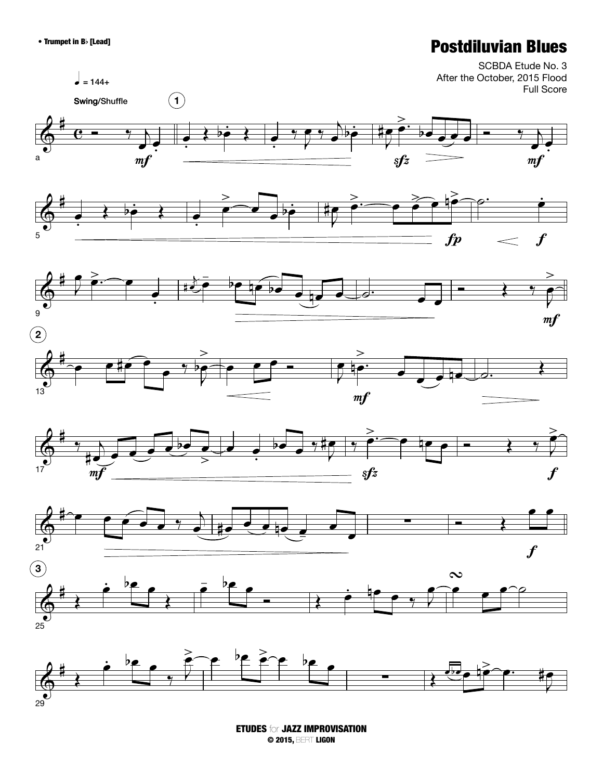## • Trumpet in Bb [Lead] **Postdiluvian Blues**



ETUDES for JAZZ IMPROVISATION © 2015, BERT LIGON